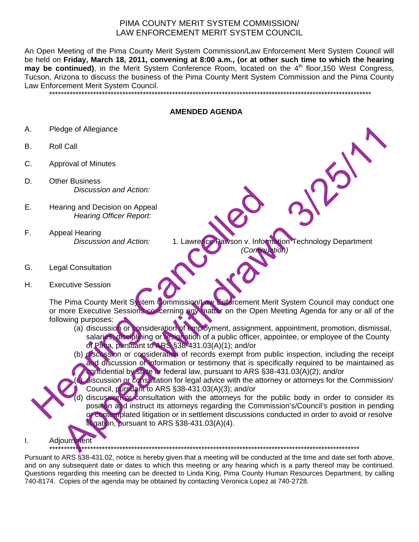## PIMA COUNTY MERIT SYSTEM COMMISSION/ LAW ENFORCEMENT MERIT SYSTEM COUNCIL

An Open Meeting of the Pima County Merit System Commission/Law Enforcement Merit System Council will be held on **Friday, March 18, 2011, convening at 8:00 a.m., (or at other such time to which the hearing**  may be continued), in the Merit System Conference Room, located on the 4<sup>th</sup> floor,150 West Congress, Tucson, Arizona to discuss the business of the Pima County Merit System Commission and the Pima County Law Enforcement Merit System Council.

**AMENDED AGENDA** 

\*\*\*\*\*\*\*\*\*\*\*\*\*\*\*\*\*\*\*\*\*\*\*\*\*\*\*\*\*\*\*\*\*\*\*\*\*\*\*\*\*\*\*\*\*\*\*\*\*\*\*\*\*\*\*\*\*\*\*\*\*\*\*\*\*\*\*\*\*\*\*\*\*\*\*\*\*\*\*\*\*\*\*\*\*\*\*\*\*\*\*\*\*\*\*\*\*\*\*\*\*\*\*\*\*\*\*\*\*\*

- A. Pledge of Allegiance
- B. Roll Call
- C. Approval of Minutes
- D. Other Business *Discussion and Action:*
- E. Hearing and Decision on Appeal *Hearing Officer Report:*
- F. Appeal Hearing *Discussion and Action:* 1. Lawrence Pawson v. Information Technology Department
- G. Legal Consultation
- H. Executive Session

The Pima County Merit System Commission/Law Enforcement Merit System Council may conduct one or more Executive Sessions concerning any matter on the Open Meeting Agenda for any or all of the following purposes: Discussion and Action:<br>
Hearing officer Report:<br>
Appeal Hearing Officer Report:<br>
Appeal Hearing Officer Report:<br>
Appeal Hearing Officer Report:<br>
1. Lawre Cancel Meson v. Information<br>
Executive Session<br>
The Pima County Meri

(a) discussion or consideration of employment, assignment, appointment, promotion, dismissal, salaries, disciplining or resignation of a public officer, appointee, or employee of the County of Pima, pursuant to ARS §38-431.03(A)(1); and/or

 *(Continuation)* 

- (b) discussion or consideration of records exempt from public inspection, including the receipt and discussion of information or testimony that is specifically required to be maintained as confidential by state or federal law, pursuant to ARS §38-431.03(A)(2); and/or
- discussion or consultation for legal advice with the attorney or attorneys for the Commission/ Council, pursuant to ARS §38-431.03(A)(3); and/or
- discussion or consultation with the attorneys for the public body in order to consider its position and instruct its attorneys regarding the Commission's/Council's position in pending or contemplated litigation or in settlement discussions conducted in order to avoid or resolve litigation, pursuant to ARS §38-431.03(A)(4). dignation<br>
Call<br>
Call<br> *Biscussion and Action:*<br> *Biscussion and Action:*<br> *Biscussion and Action:*<br> *Biscussion and Action:*<br> **All Consultation**<br> **All Consultation**<br> **All Consultation Consultation (Consultation)**<br> **All Co**

\*\*\*\*\*\*\*\*\*\*\*\*\*\*\*\*\*\*\*\*\*\*\*\*\*\*\*\*\*\*\*\*\*\*\*\*\*\*\*\*\*\*\*\*\*\*\*\*\*\*\*\*\*\*\*\*\*\*\*\*\*\*\*\*\*\*\*\*\*\*\*\*\*\*\*\*\*\*\*\*\*\*\*\*\*\*\*\*\*\*\*\*\*\*\*\*\*\*\*\*\*\*\*\*\*\*



Pursuant to ARS §38-431.02, notice is hereby given that a meeting will be conducted at the time and date set forth above, and on any subsequent date or dates to which this meeting or any hearing which is a party thereof may be continued. Questions regarding this meeting can be directed to Linda King, Pima County Human Resources Department, by calling 740-8174. Copies of the agenda may be obtained by contacting Veronica Lopez at 740-2728.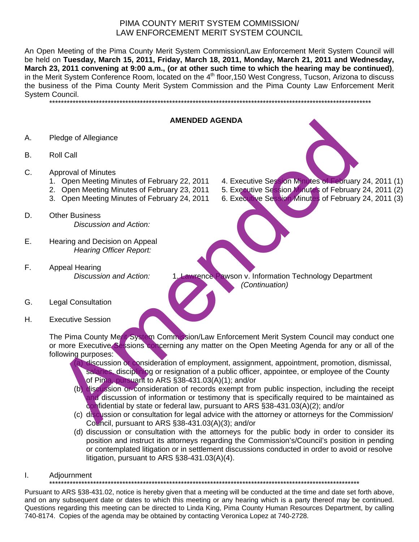## PIMA COUNTY MERIT SYSTEM COMMISSION/ LAW ENFORCEMENT MERIT SYSTEM COUNCIL

An Open Meeting of the Pima County Merit System Commission/Law Enforcement Merit System Council will be held on **Tuesday, March 15, 2011, Friday, March 18, 2011, Monday, March 21, 2011 and Wednesday, March 23, 2011 convening at 9:00 a.m., (or at other such time to which the hearing may be continued)**, in the Merit System Conference Room, located on the 4<sup>th</sup> floor,150 West Congress, Tucson, Arizona to discuss the business of the Pima County Merit System Commission and the Pima County Law Enforcement Merit System Council.

\*\*\*\*\*\*\*\*\*\*\*\*\*\*\*\*\*\*\*\*\*\*\*\*\*\*\*\*\*\*\*\*\*\*\*\*\*\*\*\*\*\*\*\*\*\*\*\*\*\*\*\*\*\*\*\*\*\*\*\*\*\*\*\*\*\*\*\*\*\*\*\*\*\*\*\*\*\*\*\*\*\*\*\*\*\*\*\*\*\*\*\*\*\*\*\*\*\*\*\*\*\*\*\*\*\*\*\*\*\*

- **AMENDED AGENDA**
- A. Pledge of Allegiance
- B. Roll Call
- C. Approval of Minutes
	- 1. Open Meeting Minutes of February 22, 2011 4. Executive Session Minutes of February 24, 2011 (1)
	- 2. Open Meeting Minutes of February 23, 2011 5. Executive Session Minutes of February 24, 2011 (2)
	- 3. Open Meeting Minutes of February 24, 2011 6. Executive Session Minutes of February 24, 2011 (3)
- D. Other Business *Discussion and Action:*
- E. Hearing and Decision on Appeal *Hearing Officer Report:*
- F. Appeal Hearing<br>Discussion and Action:
- 
- **Wrence Pawson v. Information Technology Department**  *(Continuation)*

- G. Legal Consultation
- H. Executive Session

The Pima County Merit System Commission/Law Enforcement Merit System Council may conduct one or more Executive Sessions concerning any matter on the Open Meeting Agenda for any or all of the following purposes: MethOLD AGENDIA<br>
2016 Collection of Minutes of February 22, 2011<br>
2016 Collection Minutes of February 22, 2011<br>
2016 Collection Securities Securities Securities Securities Securities Securities Securities Securities of Feb

- discussion or consideration of employment, assignment, appointment, promotion, dismissal, salaries, disciplining or resignation of a public officer, appointee, or employee of the County of Pima, pursuant to ARS §38-431.03(A)(1); and/or
- (b) discussion or consideration of records exempt from public inspection, including the receipt and discussion of information or testimony that is specifically required to be maintained as confidential by state or federal law, pursuant to ARS §38-431.03(A)(2); and/or
- (c) discussion or consultation for legal advice with the attorney or attorneys for the Commission/ Council, pursuant to ARS §38-431.03(A)(3); and/or
- (d) discussion or consultation with the attorneys for the public body in order to consider its position and instruct its attorneys regarding the Commission's/Council's position in pending or contemplated litigation or in settlement discussions conducted in order to avoid or resolve litigation, pursuant to ARS §38-431.03(A)(4).
- I. Adjournment

\*\*\*\*\*\*\*\*\*\*\*\*\*\*\*\*\*\*\*\*\*\*\*\*\*\*\*\*\*\*\*\*\*\*\*\*\*\*\*\*\*\*\*\*\*\*\*\*\*\*\*\*\*\*\*\*\*\*\*\*\*\*\*\*\*\*\*\*\*\*\*\*\*\*\*\*\*\*\*\*\*\*\*\*\*\*\*\*\*\*\*\*\*\*\*\*\*\*\*\*\*\*\*\*\*\*

Pursuant to ARS §38-431.02, notice is hereby given that a meeting will be conducted at the time and date set forth above, and on any subsequent date or dates to which this meeting or any hearing which is a party thereof may be continued. Questions regarding this meeting can be directed to Linda King, Pima County Human Resources Department, by calling 740-8174. Copies of the agenda may be obtained by contacting Veronica Lopez at 740-2728.